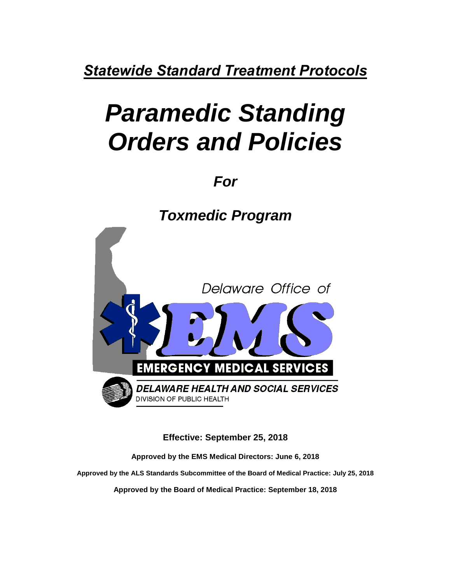*Statewide Standard Treatment Protocols*

# *Paramedic Standing Orders and Policies*

*For*

*Toxmedic Program* Delaware Office of **EMERGENCY MEDICAL SERVICES DELAWARE HEALTH AND SOCIAL SERVICES DIVISION OF PUBLIC HEALTH** 

**Effective: September 25, 2018**

**Approved by the EMS Medical Directors: June 6, 2018**

**Approved by the ALS Standards Subcommittee of the Board of Medical Practice: July 25, 2018**

**Approved by the Board of Medical Practice: September 18, 2018**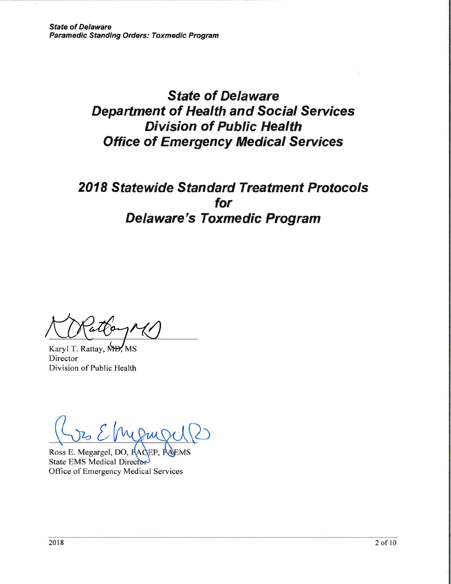# **State of Delaware Department of Health and Social Services Division of Public Health Office of Emergency Medical Services**

# **2018 Statewide Standard Treatment Protocols** for **Delaware's Toxmedic Program**

Karyl T. Rattay, M Director Division of Public Health

Ross E. Megargel, DO, RACEP, RAEMS State EMS Medical Director Office of Emergency Medical Services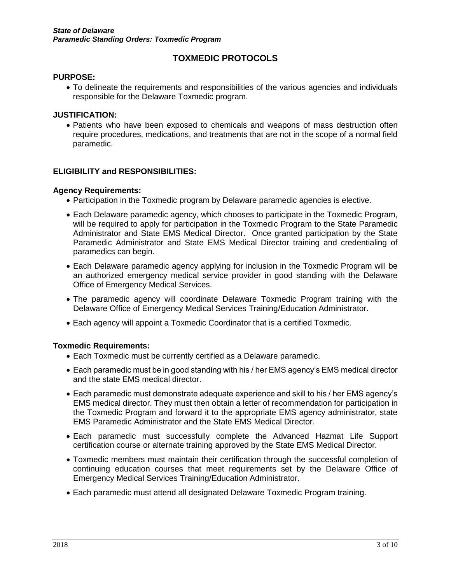# **TOXMEDIC PROTOCOLS**

#### **PURPOSE:**

 To delineate the requirements and responsibilities of the various agencies and individuals responsible for the Delaware Toxmedic program.

#### **JUSTIFICATION:**

 Patients who have been exposed to chemicals and weapons of mass destruction often require procedures, medications, and treatments that are not in the scope of a normal field paramedic.

#### **ELIGIBILITY and RESPONSIBILITIES:**

#### **Agency Requirements:**

- Participation in the Toxmedic program by Delaware paramedic agencies is elective.
- Each Delaware paramedic agency, which chooses to participate in the Toxmedic Program, will be required to apply for participation in the Toxmedic Program to the State Paramedic Administrator and State EMS Medical Director. Once granted participation by the State Paramedic Administrator and State EMS Medical Director training and credentialing of paramedics can begin.
- Each Delaware paramedic agency applying for inclusion in the Toxmedic Program will be an authorized emergency medical service provider in good standing with the Delaware Office of Emergency Medical Services.
- The paramedic agency will coordinate Delaware Toxmedic Program training with the Delaware Office of Emergency Medical Services Training/Education Administrator.
- Each agency will appoint a Toxmedic Coordinator that is a certified Toxmedic.

#### **Toxmedic Requirements:**

- Each Toxmedic must be currently certified as a Delaware paramedic.
- Each paramedic must be in good standing with his / her EMS agency's EMS medical director and the state EMS medical director.
- Each paramedic must demonstrate adequate experience and skill to his / her EMS agency's EMS medical director. They must then obtain a letter of recommendation for participation in the Toxmedic Program and forward it to the appropriate EMS agency administrator, state EMS Paramedic Administrator and the State EMS Medical Director.
- Each paramedic must successfully complete the Advanced Hazmat Life Support certification course or alternate training approved by the State EMS Medical Director.
- Toxmedic members must maintain their certification through the successful completion of continuing education courses that meet requirements set by the Delaware Office of Emergency Medical Services Training/Education Administrator.
- Each paramedic must attend all designated Delaware Toxmedic Program training.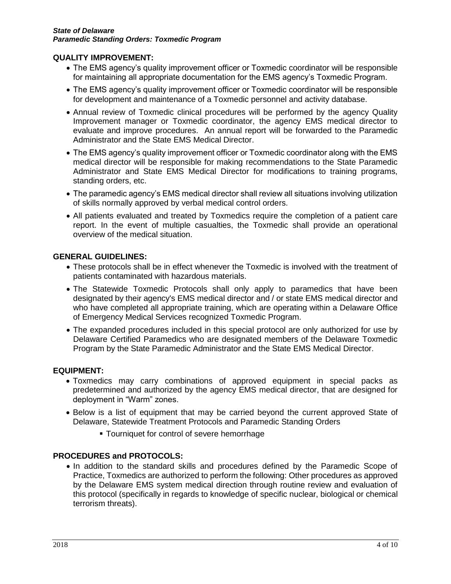#### **QUALITY IMPROVEMENT:**

- The EMS agency's quality improvement officer or Toxmedic coordinator will be responsible for maintaining all appropriate documentation for the EMS agency's Toxmedic Program.
- The EMS agency's quality improvement officer or Toxmedic coordinator will be responsible for development and maintenance of a Toxmedic personnel and activity database.
- Annual review of Toxmedic clinical procedures will be performed by the agency Quality Improvement manager or Toxmedic coordinator, the agency EMS medical director to evaluate and improve procedures. An annual report will be forwarded to the Paramedic Administrator and the State EMS Medical Director.
- The EMS agency's quality improvement officer or Toxmedic coordinator along with the EMS medical director will be responsible for making recommendations to the State Paramedic Administrator and State EMS Medical Director for modifications to training programs, standing orders, etc.
- The paramedic agency's EMS medical director shall review all situations involving utilization of skills normally approved by verbal medical control orders.
- All patients evaluated and treated by Toxmedics require the completion of a patient care report. In the event of multiple casualties, the Toxmedic shall provide an operational overview of the medical situation.

## **GENERAL GUIDELINES:**

- These protocols shall be in effect whenever the Toxmedic is involved with the treatment of patients contaminated with hazardous materials.
- The Statewide Toxmedic Protocols shall only apply to paramedics that have been designated by their agency's EMS medical director and / or state EMS medical director and who have completed all appropriate training, which are operating within a Delaware Office of Emergency Medical Services recognized Toxmedic Program.
- The expanded procedures included in this special protocol are only authorized for use by Delaware Certified Paramedics who are designated members of the Delaware Toxmedic Program by the State Paramedic Administrator and the State EMS Medical Director.

# **EQUIPMENT:**

- Toxmedics may carry combinations of approved equipment in special packs as predetermined and authorized by the agency EMS medical director, that are designed for deployment in "Warm" zones.
- Below is a list of equipment that may be carried beyond the current approved State of Delaware, Statewide Treatment Protocols and Paramedic Standing Orders
	- **Tourniquet for control of severe hemorrhage**

# **PROCEDURES and PROTOCOLS:**

• In addition to the standard skills and procedures defined by the Paramedic Scope of Practice, Toxmedics are authorized to perform the following: Other procedures as approved by the Delaware EMS system medical direction through routine review and evaluation of this protocol (specifically in regards to knowledge of specific nuclear, biological or chemical terrorism threats).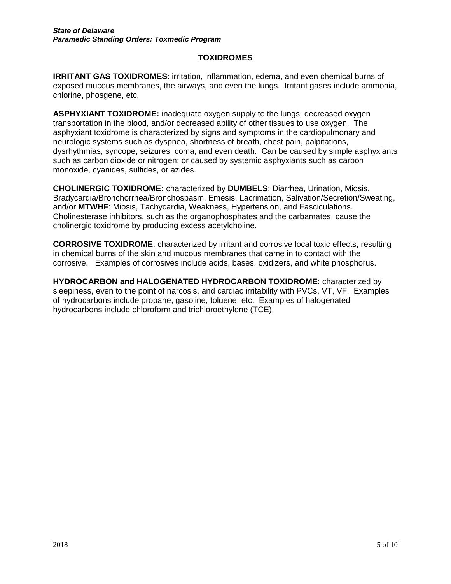# **TOXIDROMES**

**IRRITANT GAS TOXIDROMES**: irritation, inflammation, edema, and even chemical burns of exposed mucous membranes, the airways, and even the lungs. Irritant gases include ammonia, chlorine, phosgene, etc.

**ASPHYXIANT TOXIDROME:** inadequate oxygen supply to the lungs, decreased oxygen transportation in the blood, and/or decreased ability of other tissues to use oxygen. The asphyxiant toxidrome is characterized by signs and symptoms in the cardiopulmonary and neurologic systems such as dyspnea, shortness of breath, chest pain, palpitations, dysrhythmias, syncope, seizures, coma, and even death. Can be caused by simple asphyxiants such as carbon dioxide or nitrogen; or caused by systemic asphyxiants such as carbon monoxide, cyanides, sulfides, or azides.

**CHOLINERGIC TOXIDROME:** characterized by **DUMBELS**: Diarrhea, Urination, Miosis, Bradycardia/Bronchorrhea/Bronchospasm, Emesis, Lacrimation, Salivation/Secretion/Sweating, and/or **MTWHF**: Miosis, Tachycardia, Weakness, Hypertension, and Fasciculations. Cholinesterase inhibitors, such as the organophosphates and the carbamates, cause the cholinergic toxidrome by producing excess acetylcholine.

**CORROSIVE TOXIDROME**: characterized by irritant and corrosive local toxic effects, resulting in chemical burns of the skin and mucous membranes that came in to contact with the corrosive. Examples of corrosives include acids, bases, oxidizers, and white phosphorus.

**HYDROCARBON and HALOGENATED HYDROCARBON TOXIDROME**: characterized by sleepiness, even to the point of narcosis, and cardiac irritability with PVCs, VT, VF. Examples of hydrocarbons include propane, gasoline, toluene, etc. Examples of halogenated hydrocarbons include chloroform and trichloroethylene (TCE).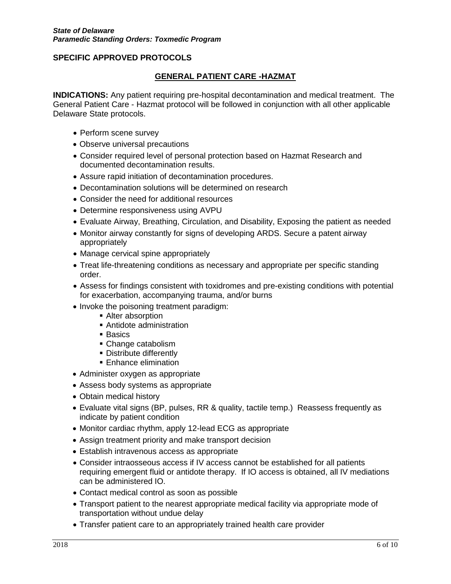## **GENERAL PATIENT CARE -HAZMAT**

**INDICATIONS:** Any patient requiring pre-hospital decontamination and medical treatment. The General Patient Care - Hazmat protocol will be followed in conjunction with all other applicable Delaware State protocols.

- Perform scene survey
- Observe universal precautions
- Consider required level of personal protection based on Hazmat Research and documented decontamination results.
- Assure rapid initiation of decontamination procedures.
- Decontamination solutions will be determined on research
- Consider the need for additional resources
- Determine responsiveness using AVPU
- Evaluate Airway, Breathing, Circulation, and Disability, Exposing the patient as needed
- Monitor airway constantly for signs of developing ARDS. Secure a patent airway appropriately
- Manage cervical spine appropriately
- Treat life-threatening conditions as necessary and appropriate per specific standing order.
- Assess for findings consistent with toxidromes and pre-existing conditions with potential for exacerbation, accompanying trauma, and/or burns
- Invoke the poisoning treatment paradigm:
	- Alter absorption
	- Antidote administration
	- **Basics**
	- Change catabolism
	- Distribute differently
	- **Enhance elimination**
- Administer oxygen as appropriate
- Assess body systems as appropriate
- Obtain medical history
- Evaluate vital signs (BP, pulses, RR & quality, tactile temp.) Reassess frequently as indicate by patient condition
- Monitor cardiac rhythm, apply 12-lead ECG as appropriate
- Assign treatment priority and make transport decision
- Establish intravenous access as appropriate
- Consider intraosseous access if IV access cannot be established for all patients requiring emergent fluid or antidote therapy. If IO access is obtained, all IV mediations can be administered IO.
- Contact medical control as soon as possible
- Transport patient to the nearest appropriate medical facility via appropriate mode of transportation without undue delay
- Transfer patient care to an appropriately trained health care provider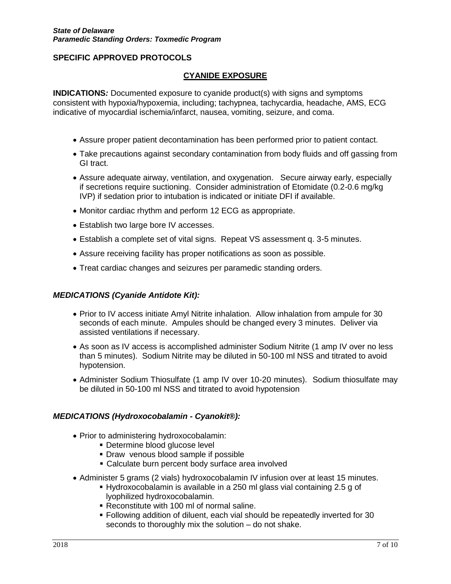#### **CYANIDE EXPOSURE**

**INDICATIONS***:* Documented exposure to cyanide product(s) with signs and symptoms consistent with hypoxia/hypoxemia, including; tachypnea, tachycardia, headache, AMS, ECG indicative of myocardial ischemia/infarct, nausea, vomiting, seizure, and coma.

- Assure proper patient decontamination has been performed prior to patient contact.
- Take precautions against secondary contamination from body fluids and off gassing from GI tract.
- Assure adequate airway, ventilation, and oxygenation. Secure airway early, especially if secretions require suctioning. Consider administration of Etomidate (0.2-0.6 mg/kg IVP) if sedation prior to intubation is indicated or initiate DFI if available.
- Monitor cardiac rhythm and perform 12 ECG as appropriate.
- Establish two large bore IV accesses.
- Establish a complete set of vital signs. Repeat VS assessment q. 3-5 minutes.
- Assure receiving facility has proper notifications as soon as possible.
- Treat cardiac changes and seizures per paramedic standing orders.

#### *MEDICATIONS (Cyanide Antidote Kit):*

- Prior to IV access initiate Amyl Nitrite inhalation. Allow inhalation from ampule for 30 seconds of each minute. Ampules should be changed every 3 minutes. Deliver via assisted ventilations if necessary.
- As soon as IV access is accomplished administer Sodium Nitrite (1 amp IV over no less than 5 minutes). Sodium Nitrite may be diluted in 50-100 ml NSS and titrated to avoid hypotension.
- Administer Sodium Thiosulfate (1 amp IV over 10-20 minutes). Sodium thiosulfate may be diluted in 50-100 ml NSS and titrated to avoid hypotension

#### *MEDICATIONS (Hydroxocobalamin - Cyanokit®):*

- Prior to administering hydroxocobalamin:
	- **Determine blood glucose level**
	- **Draw venous blood sample if possible**
	- Calculate burn percent body surface area involved
- Administer 5 grams (2 vials) hydroxocobalamin IV infusion over at least 15 minutes.
	- Hydroxocobalamin is available in a 250 ml glass vial containing 2.5 g of lyophilized hydroxocobalamin.
	- Reconstitute with 100 ml of normal saline.
	- Following addition of diluent, each vial should be repeatedly inverted for 30 seconds to thoroughly mix the solution – do not shake.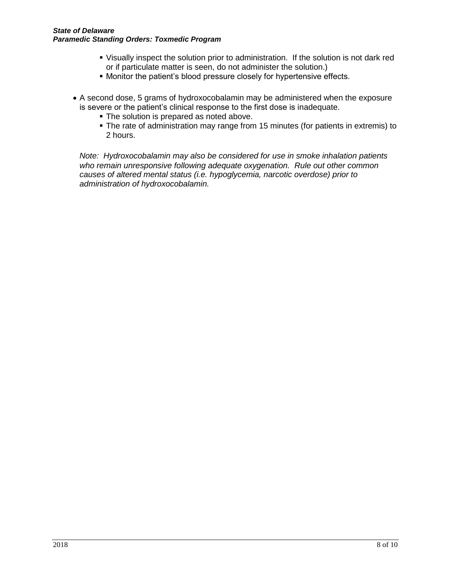#### *State of Delaware Paramedic Standing Orders: Toxmedic Program*

- Visually inspect the solution prior to administration. If the solution is not dark red or if particulate matter is seen, do not administer the solution.)
- Monitor the patient's blood pressure closely for hypertensive effects.
- A second dose, 5 grams of hydroxocobalamin may be administered when the exposure is severe or the patient's clinical response to the first dose is inadequate.
	- The solution is prepared as noted above.
	- The rate of administration may range from 15 minutes (for patients in extremis) to 2 hours.

*Note: Hydroxocobalamin may also be considered for use in smoke inhalation patients who remain unresponsive following adequate oxygenation. Rule out other common causes of altered mental status (i.e. hypoglycemia, narcotic overdose) prior to administration of hydroxocobalamin.*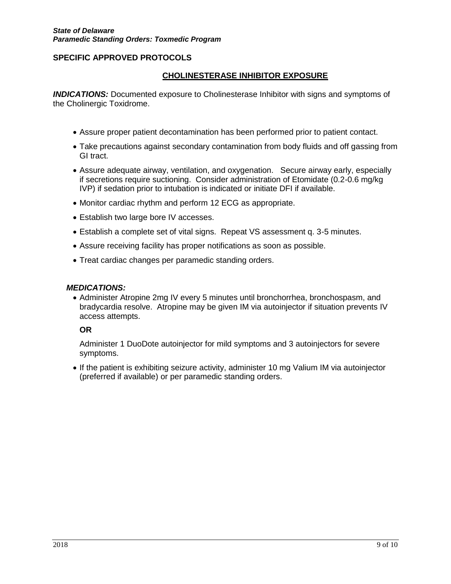#### **CHOLINESTERASE INHIBITOR EXPOSURE**

*INDICATIONS:* Documented exposure to Cholinesterase Inhibitor with signs and symptoms of the Cholinergic Toxidrome.

- Assure proper patient decontamination has been performed prior to patient contact.
- Take precautions against secondary contamination from body fluids and off gassing from GI tract.
- Assure adequate airway, ventilation, and oxygenation. Secure airway early, especially if secretions require suctioning. Consider administration of Etomidate (0.2-0.6 mg/kg IVP) if sedation prior to intubation is indicated or initiate DFI if available.
- Monitor cardiac rhythm and perform 12 ECG as appropriate.
- Establish two large bore IV accesses.
- Establish a complete set of vital signs. Repeat VS assessment q. 3-5 minutes.
- Assure receiving facility has proper notifications as soon as possible.
- Treat cardiac changes per paramedic standing orders.

#### *MEDICATIONS:*

 Administer Atropine 2mg IV every 5 minutes until bronchorrhea, bronchospasm, and bradycardia resolve. Atropine may be given IM via autoinjector if situation prevents IV access attempts.

#### **OR**

Administer 1 DuoDote autoinjector for mild symptoms and 3 autoinjectors for severe symptoms.

 If the patient is exhibiting seizure activity, administer 10 mg Valium IM via autoinjector (preferred if available) or per paramedic standing orders.